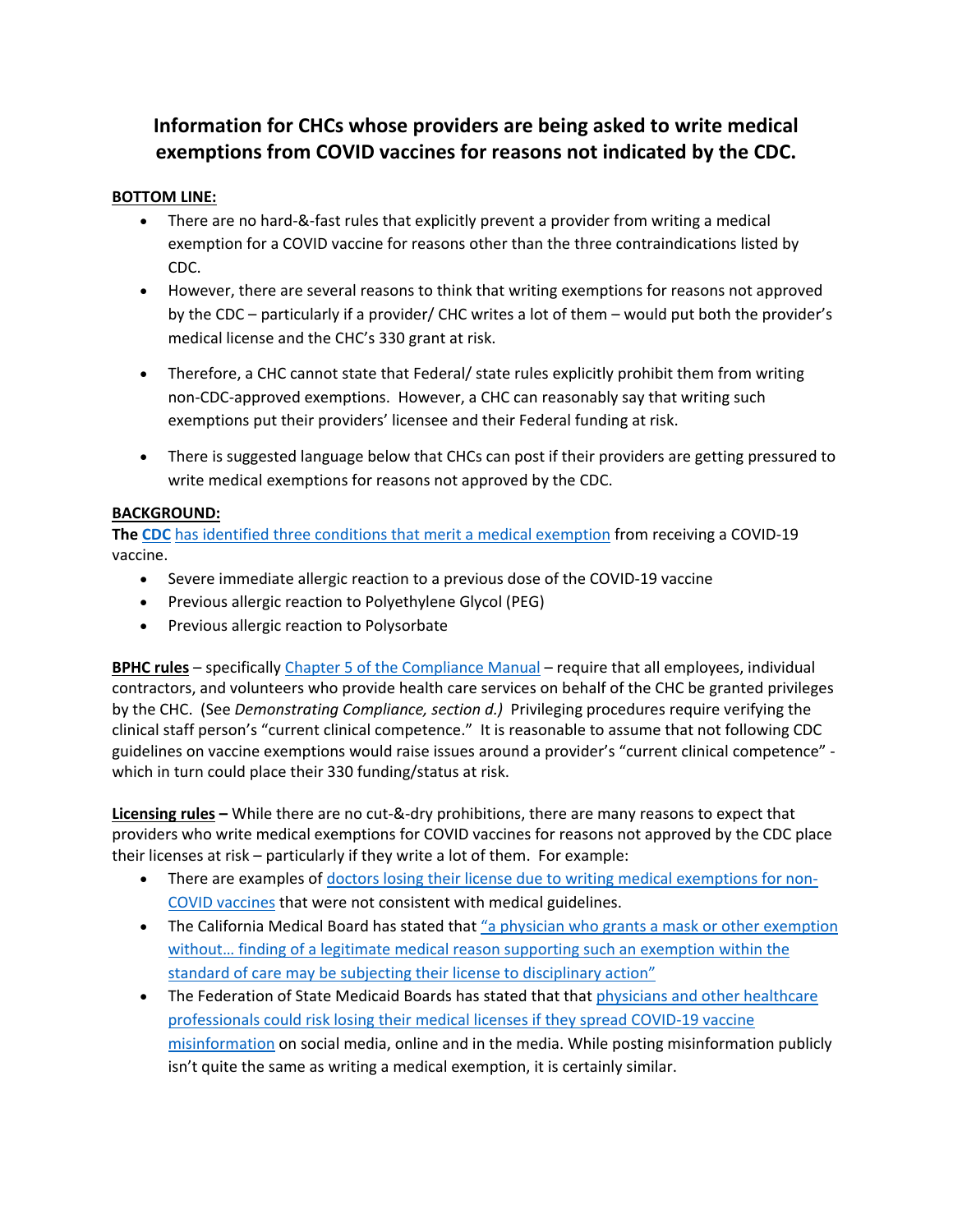## **Information for CHCs whose providers are being asked to write medical exemptions from COVID vaccines for reasons not indicated by the CDC.**

## **BOTTOM LINE:**

- There are no hard-&-fast rules that explicitly prevent a provider from writing a medical exemption for a COVID vaccine for reasons other than the three contraindications listed by CDC.
- However, there are several reasons to think that writing exemptions for reasons not approved by the CDC – particularly if a provider/ CHC writes a lot of them – would put both the provider's medical license and the CHC's 330 grant at risk.
- Therefore, a CHC cannot state that Federal/ state rules explicitly prohibit them from writing non-CDC-approved exemptions. However, a CHC can reasonably say that writing such exemptions put their providers' licensee and their Federal funding at risk.
- There is suggested language below that CHCs can post if their providers are getting pressured to write medical exemptions for reasons not approved by the CDC.

## **BACKGROUND:**

**The CDC** has identified three conditions that merit a medical exemption from receiving a COVID-19 vaccine.

- Severe immediate allergic reaction to a previous dose of the COVID-19 vaccine
- Previous allergic reaction to Polyethylene Glycol (PEG)
- Previous allergic reaction to Polysorbate

**BPHC rules** – specifically Chapter 5 of the Compliance Manual – require that all employees, individual contractors, and volunteers who provide health care services on behalf of the CHC be granted privileges by the CHC. (See *Demonstrating Compliance, section d.)* Privileging procedures require verifying the clinical staff person's "current clinical competence." It is reasonable to assume that not following CDC guidelines on vaccine exemptions would raise issues around a provider's "current clinical competence" which in turn could place their 330 funding/status at risk.

**Licensing rules –** While there are no cut-&-dry prohibitions, there are many reasons to expect that providers who write medical exemptions for COVID vaccines for reasons not approved by the CDC place their licenses at risk – particularly if they write a lot of them. For example:

- There are examples of doctors losing their license due to writing medical exemptions for non-COVID vaccines that were not consistent with medical guidelines.
- The California Medical Board has stated that "a physician who grants a mask or other exemption without… finding of a legitimate medical reason supporting such an exemption within the standard of care may be subjecting their license to disciplinary action"
- The Federation of State Medicaid Boards has stated that that physicians and other healthcare professionals could risk losing their medical licenses if they spread COVID-19 vaccine misinformation on social media, online and in the media. While posting misinformation publicly isn't quite the same as writing a medical exemption, it is certainly similar.